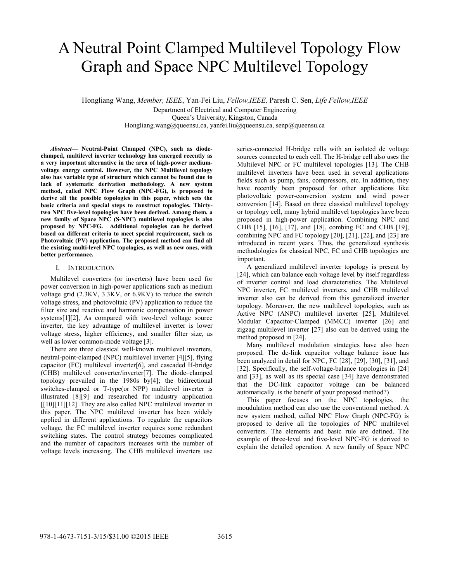# A Neutral Point Clamped Multilevel Topology Flow Graph and Space NPC Multilevel Topology

Hongliang Wang, *Member, IEEE*, Yan-Fei Liu, *Fellow,IEEE,* Paresh C. Sen, *Life Fellow,IEEE* Department of Electrical and Computer Engineering Queen's University, Kingston, Canada Hongliang.wang@queensu.ca, yanfei.liu@queensu.ca, senp@queensu.ca

*Abstract***— Neutral-Point Clamped (NPC), such as diodeclamped, multilevel inverter technology has emerged recently as a very important alternative in the area of high-power mediumvoltage energy control. However, the NPC Multilevel topology also has variable type of structure which cannot be found due to lack of systematic derivation methodology. A new system method, called NPC Flow Graph (NPC-FG), is proposed to derive all the possible topologies in this paper, which sets the basic criteria and special steps to construct topologies. Thirtytwo NPC five-level topologies have been derived. Among them, a new family of Space NPC (S-NPC) multilevel topologies is also proposed by NPC-FG. Additional topologies can be derived based on different criteria to meet special requirement, such as Photovoltaic (PV) application. The proposed method can find all the existing multi-level NPC topologies, as well as new ones, with better performance.**

#### I. INTRODUCTION

Multilevel converters (or inverters) have been used for power conversion in high-power applications such as medium voltage grid (2.3KV, 3.3KV, or 6.9KV) to reduce the switch voltage stress, and photovoltaic (PV) application to reduce the filter size and reactive and harmonic compensation in power systems[1][2], As compared with two-level voltage source inverter, the key advantage of multilevel inverter is lower voltage stress, higher efficiency, and smaller filter size, as well as lower common-mode voltage [3].

There are three classical well-known multilevel inverters, neutral-point-clamped (NPC) multilevel inverter [4][5], flying capacitor (FC) multilevel inverter[6], and cascaded H-bridge (CHB) multilevel converter/inverter[7]. The diode–clamped topology prevailed in the 1980s by[4]; the bidirectional switches-clamped or T-type(or NPP) multilevel inverter is illustrated [8][9] and researched for industry application [[10][11][12] .They are also called NPC multilevel inverter in this paper. The NPC multilevel inverter has been widely applied in different applications. To regulate the capacitors voltage, the FC multilevel inverter requires some redundant switching states. The control strategy becomes complicated and the number of capacitors increases with the number of voltage levels increasing. The CHB multilevel inverters use

series-connected H-bridge cells with an isolated dc voltage sources connected to each cell. The H-bridge cell also uses the Multilevel NPC or FC multilevel topologies [13]. The CHB multilevel inverters have been used in several applications fields such as pump, fans, compressors, etc. In addition, they have recently been proposed for other applications like photovoltaic power-conversion system and wind power conversion [14]. Based on three classical multilevel topology or topology cell, many hybrid multilevel topologies have been proposed in high-power application. Combining NPC and CHB [15], [16], [17], and [18], combing FC and CHB [19], combining NPC and FC topology [20], [21], [22], and [23] are introduced in recent years. Thus, the generalized synthesis methodologies for classical NPC, FC and CHB topologies are important.

A generalized multilevel inverter topology is present by [24], which can balance each voltage level by itself regardless of inverter control and load characteristics. The Multilevel NPC inverter, FC multilevel inverters, and CHB multilevel inverter also can be derived from this generalized inverter topology. Moreover, the new multilevel topologies, such as Active NPC (ANPC) multilevel inverter [25], Multilevel Modular Capacitor-Clamped (MMCC) inverter [26] and zigzag multilevel inverter [27] also can be derived using the method proposed in [24].

Many multilevel modulation strategies have also been proposed. The dc-link capacitor voltage balance issue has been analyzed in detail for NPC, FC [28], [29], [30], [31], and [32]. Specifically, the self-voltage-balance topologies in [24] and [33], as well as its special case [34] have demonstrated that the DC-link capacitor voltage can be balanced automatically. is the benefit of your proposed method?)

This paper focuses on the NPC topologies, the moudulation method can also use the conventional method. A new system method, called NPC Flow Graph (NPC-FG) is proposed to derive all the topologies of NPC multilevel converters. The elements and basic rule are defined. The example of three-level and five-level NPC-FG is derived to explain the detailed operation. A new family of Space NPC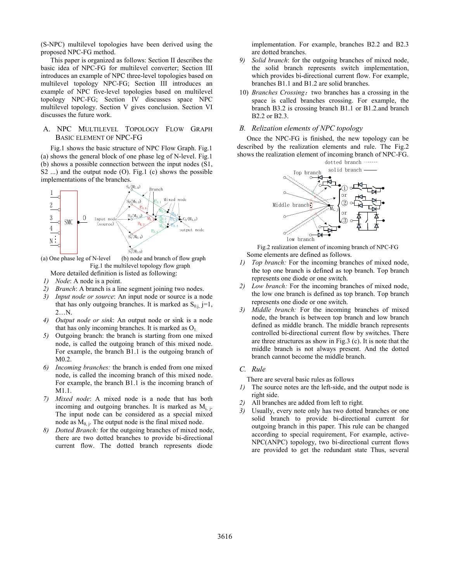(S-NPC) multilevel topologies have been derived using the proposed NPC-FG method.

This paper is organized as follows: Section II describes the basic idea of NPC-FG for multilevel converter; Section III introduces an example of NPC three-level topologies based on multilevel topology NPC-FG; Section III introduces an example of NPC five-level topologies based on multilevel topology NPC-FG; Section IV discusses space NPC multilevel topology. Section V gives conclusion. Section VI discusses the future work.

## A. NPC MULTILEVEL TOPOLOGY FLOW GRAPH BASIC ELEMENT OF NPC-FG

Fig.1 shows the basic structure of NPC Flow Graph. Fig.1 (a) shows the general block of one phase leg of N-level. Fig.1 (b) shows a possible connection between the input nodes (S1, S2 ...) and the output node (O). Fig.1 (c) shows the possible implementations of the branches.



(a) One phase leg of N-level (b) node and branch of flow graph Fig.1 the multilevel topology flow graph

More detailed definition is listed as following:

- *1) Node*: A node is a point.
- *2) Branch*: A branch is a line segment joining two nodes.
- *3) Input node or source*: An input node or source is a node that has only outgoing branches. It is marked as  $S_{0,i}$  j=1, 2 $\mathbf{N}$
- *4) Output node or sink*: An output node or sink is a node that has only incoming branches. It is marked as  $O<sub>1</sub>$ .
- *5)* Outgoing branch: the branch is starting from one mixed node, is called the outgoing branch of this mixed node. For example, the branch B1.1 is the outgoing branch of M0.2.
- *6) Incoming branches:* the branch is ended from one mixed node, is called the incoming branch of this mixed node. For example, the branch B1.1 is the incoming branch of M1.1.
- *7) Mixed node*: A mixed node is a node that has both incoming and outgoing branches. It is marked as  $M_{i,j}$ . The input node can be considered as a special mixed node as  $M_{0,j}$ . The output node is the final mixed node.
- *8) Dotted Branch:* for the outgoing branches of mixed node, there are two dotted branches to provide bi-directional current flow. The dotted branch represents diode

implementation. For example, branches B2.2 and B2.3 are dotted branches.

- *9) Solid branch*: for the outgoing branches of mixed node, the solid branch represents switch implementation, which provides bi-directional current flow. For example, branches B1.1 and B1.2 are solid branches.
- 10) *Branches Crossing*: two branches has a crossing in the space is called branches crossing. For example, the branch B3.2 is crossing branch B1.1 or B1.2.and branch B2.2 or B2.3.

### *B. Relization elements of NPC topology*

Once the NPC-FG is finished, the new topology can be described by the realization elements and rule. The Fig.2 shows the realization element of incoming branch of NPC-FG.



Fig.2 realization element of incoming branch of NPC-FG Some elements are defined as follows.

- *1) Top branch:* For the incoming branches of mixed node, the top one branch is defined as top branch. Top branch represents one diode or one switch.
- *2) Low branch:* For the incoming branches of mixed node, the low one branch is defined as top branch. Top branch represents one diode or one switch.
- *3) Middle branch:* For the incoming branches of mixed node, the branch is between top branch and low branch defined as middle branch. The middle branch represents controlled bi-directional current flow by switches. There are three structures as show in Fig.3 (c). It is note that the middle branch is not always present. And the dotted branch cannot become the middle branch.

#### *C. Rule*

There are several basic rules as follows

- *1)* The source notes are the left-side, and the output node is right side.
- *2)* All branches are added from left to right.
- *3)* Usually, every note only has two dotted branches or one solid branch to provide bi-directional current for outgoing branch in this paper. This rule can be changed according to special requirement, For example, active-NPC(ANPC) topology, two bi-directional current flows are provided to get the redundant state Thus, several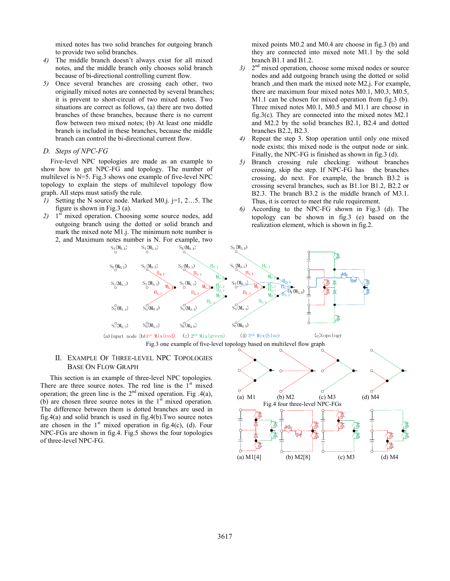mixed notes has two solid branches for outgoing branch to provide two solid branches.

- *4)* The middle branch doesn't always exist for all mixed notes, and the middle branch only chooses solid branch because of bi-directional controlling current flow.
- *5)* Once several branches are crossing each other, two originally mixed notes are connected by several branches; it is prevent to short-circuit of two mixed notes. Two situations are correct as follows, (a) there are two dotted branches of these branches, because there is no current flow between two mixed notes; (b) At least one middle branch is included in these branches, because the middle branch can control the bi-directional current flow.

#### *D. Steps of NPC-FG*

Five-level NPC topologies are made as an example to show how to get NPC-FG and topology. The number of multilevel is N=5. Fig.3 shows one example of five-level NPC topology to explain the steps of multilevel topology flow graph. All steps must satisfy the rule.

- *1)* Setting the N source node. Marked M0.j. j=1, 2…5. The figure is shown in Fig.3 (a).
- *2)* 1st mixed operation. Choosing some source nodes, add outgoing branch using the dotted or solid branch and mark the mixed note M1.j. The minimum note number is 2, and Maximum notes number is N. For example, two

mixed points M0.2 and M0.4 are choose in fig.3 (b) and they are connected into mixed note M1.1 by the sold branch B1.1 and B1.2.

- *3)* 2nd mixed operation, choose some mixed nodes or source nodes and add outgoing branch using the dotted or solid branch ,and then mark the mixed note M2.j. For example, there are maximum four mixed notes M0.1, M0.3, M0.5, M1.1 can be chosen for mixed operation from fig.3 (b). Three mixed notes M0.1, M0.5 and M1.1 are choose in fig.3(c). They are connected into the mixed notes M2.1 and M2.2 by the solid branches B2.1, B2.4 and dotted branches B2.2, B2.3.
- *4)* Repeat the step 3. Stop operation until only one mixed node exists; this mixed node is the output node or sink. Finally, the NPC-FG is finished as shown in fig.3 (d).
- *5)* Branch crossing rule checking: without branches crossing, skip the step. If NPC-FG has the branches crossing, do next. For example, the branch B3.2 is crossing several branches, such as B1.1or B1.2, B2.2 or B2.3. The branch B3.2 is the middle branch of M3.1. Thus, it is correct to meet the rule requirement.
- *6)* According to the NPC-FG shown in Fig.3 (d). The topology can be shown in fig.3 (e) based on the realization element, which is shown in fig.2.





## II. EXAMPLE OF 7HREE-LEVEL NPC TOPOLOGIES BASE ON FLOW GRAPH

This section is an example of three-level NPC topologies. There are three source notes. The red line is the  $1<sup>st</sup>$  mixed operation; the green line is the  $2<sup>nd</sup>$  mixed operation. Fig .4(a), (b) are chosen three source notes in the  $1<sup>st</sup>$  mixed operation. The difference between them is dotted branches are used in fig.4(a) and solid branch is used in fig.4(b).Two source notes are chosen in the  $1<sup>st</sup>$  mixed operation in fig.4(c), (d). Four NPC-FGs are shown in fig.4. Fig.5 shows the four topologies of three-level NPC-FG.

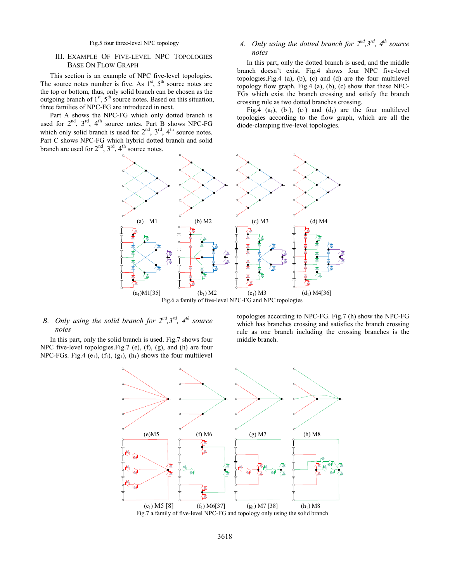Fig.5 four three-level NPC topology

## III. EXAMPLE OF FIVE-LEVEL NPC TOPOLOGIES BASE ON FLOW GRAPH

This section is an example of NPC five-level topologies. The source notes number is five. As  $1<sup>st</sup>$ ,  $5<sup>th</sup>$  source notes are the top or bottom, thus, only solid branch can be chosen as the outgoing branch of  $1<sup>st</sup>$ ,  $5<sup>th</sup>$  source notes. Based on this situation, three families of NPC-FG are introduced in next.

Part A shows the NPC-FG which only dotted branch is used for  $2^{nd}$ ,  $3^{rd}$ ,  $4^{th}$  source notes. Part B shows NPC-FG which only solid branch is used for  $2<sup>nd</sup>$ ,  $3<sup>rd</sup>$ ,  $4<sup>th</sup>$  source notes. Part C shows NPC-FG which hybrid dotted branch and solid branch are used for  $2<sup>nd</sup>$ ,  $3<sup>rd</sup>$ ,  $4<sup>th</sup>$  source notes.

# *A. Only using the dotted branch for 2nd,3rd, 4th source notes*

In this part, only the dotted branch is used, and the middle branch doesn't exist. Fig.4 shows four NPC five-level topologies.Fig.4 (a), (b), (c) and (d) are the four multilevel topology flow graph. Fig.4 (a), (b), (c) show that these NFC-FGs which exist the branch crossing and satisfy the branch crossing rule as two dotted branches crossing.

Fig.4 (a<sub>1</sub>), (b<sub>1</sub>), (c<sub>1</sub>) and (d<sub>1</sub>) are the four multilevel topologies according to the flow graph, which are all the diode-clamping five-level topologies.



# *B. Only using the solid branch for 2nd,3rd, 4th source notes*

In this part, only the solid branch is used. Fig.7 shows four NPC five-level topologies.Fig.7 (e), (f), (g), and (h) are four NPC-FGs. Fig.4 (e<sub>1</sub>), (f<sub>1</sub>), (g<sub>1</sub>), (h<sub>1</sub>) shows the four multilevel topologies according to NPC-FG. Fig.7 (h) show the NPC-FG which has branches crossing and satisfies the branch crossing rule as one branch including the crossing branches is the middle branch.

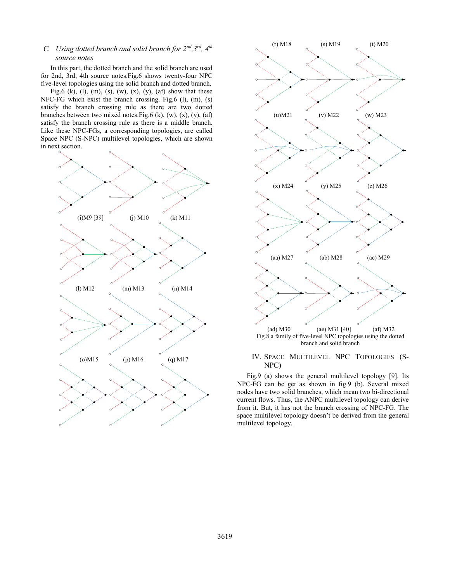# *C. Using dotted branch and solid branch for 2nd,3rd, 4th source notes*

In this part, the dotted branch and the solid branch are used for 2nd, 3rd, 4th source notes.Fig.6 shows twenty-four NPC five-level topologies using the solid branch and dotted branch.

Fig.6 (k), (l), (m), (s), (w), (x), (y), (af) show that these NFC-FG which exist the branch crossing. Fig.6 (l), (m), (s) satisfy the branch crossing rule as there are two dotted branches between two mixed notes. Fig.6 (k), (w),  $(x)$ ,  $(y)$ ,  $(at)$ satisfy the branch crossing rule as there is a middle branch. Like these NPC-FGs, a corresponding topologies, are called Space NPC (S-NPC) multilevel topologies, which are shown in next section.





#### IV. SPACE MULTILEVEL NPC TOPOLOGIES (S-NPC)

Fig.9 (a) shows the general multilevel topology [9]. Its NPC-FG can be get as shown in fig.9 (b). Several mixed nodes have two solid branches, which mean two bi-directional current flows. Thus, the ANPC multilevel topology can derive from it. But, it has not the branch crossing of NPC-FG. The space multilevel topology doesn't be derived from the general multilevel topology.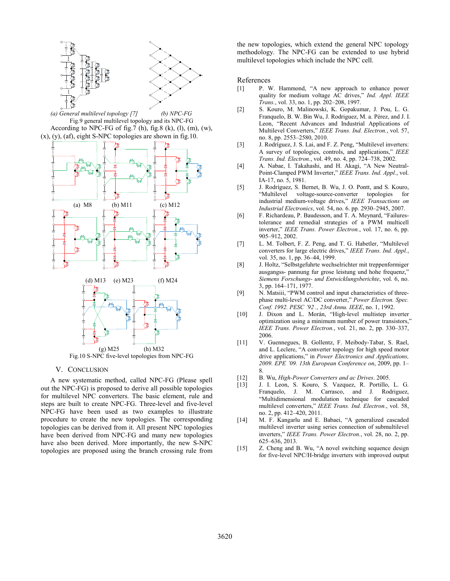

Fig.10 S-NPC five-level topologies from NPC-FG

#### V. CONCLUSION

A new systematic method, called NPC-FG (Please spell out the NPC-FG) is proposed to derive all possible topologies for multilevel NPC converters. The basic element, rule and steps are built to create NPC-FG. Three-level and five-level NPC-FG have been used as two examples to illustrate procedure to create the new topologies. The corresponding topologies can be derived from it. All present NPC topologies have been derived from NPC-FG and many new topologies have also been derived. More importantly, the new S-NPC topologies are proposed using the branch crossing rule from the new topologies, which extend the general NPC topology methodology. The NPC-FG can be extended to use hybrid multilevel topologies which include the NPC cell.

#### References

- [1] P. W. Hammond, "A new approach to enhance power quality for medium voltage AC drives," *Ind. Appl. IEEE Trans.*, vol. 33, no. 1, pp. 202–208, 1997.
- [2] S. Kouro, M. Malinowski, K. Gopakumar, J. Pou, L. G. Franquelo, B. W. Bin Wu, J. Rodriguez, M. a. Pérez, and J. I. Leon, "Recent Advances and Industrial Applications of Multilevel Converters," *IEEE Trans. Ind. Electron.*, vol. 57, no. 8, pp. 2553–2580, 2010.
- [3] J. Rodríguez, J. S. Lai, and F. Z. Peng, "Multilevel inverters: A survey of topologies, controls, and applications," *IEEE Trans. Ind. Electron.*, vol. 49, no. 4, pp. 724–738, 2002.
- [4] A. Nabae, I. Takahashi, and H. Akagi, "A New Neutral-Point-Clamped PWM Inverter," *IEEE Trans. Ind. Appl.*, vol. IA-17, no. 5, 1981.
- [5] J. Rodríguez, S. Bernet, B. Wu, J. O. Pontt, and S. Kouro, "Multilevel voltage-source-converter topologies for industrial medium-voltage drives," *IEEE Transactions on Industrial Electronics*, vol. 54, no. 6. pp. 2930–2945, 2007.
- [6] F. Richardeau, P. Baudesson, and T. A. Meynard, "Failurestolerance and remedial strategies of a PWM multicell inverter," *IEEE Trans. Power Electron.*, vol. 17, no. 6, pp. 905–912, 2002.
- [7] L. M. Tolbert, F. Z. Peng, and T. G. Habetler, "Multilevel converters for large electric drives," *IEEE Trans. Ind. Appl.*, vol. 35, no. 1, pp. 36–44, 1999.
- [8] J. Holtz, "Selbstgefuhrte wechselrichter mit treppenformiger ausgangss- pannung fur grose leistung und hohe frequenz," *Siemens Forschungs- und Entwicklungsberichte*, vol. 6, no. 3, pp. 164–171, 1977.
- [9] N. Matsiii, "PWM control and input characteristics of threephase multi-level AC/DC converter," *Power Electron. Spec. Conf. 1992. PESC '92 ., 23rd Annu. IEEE*, no. 1, 1992.
- [10] J. Dixon and L. Morán, "High-level multistep inverter optimization using a minimum number of power transistors,' *IEEE Trans. Power Electron.*, vol. 21, no. 2, pp. 330–337, 2006.
- [11] V. Guennegues, B. Gollentz, F. Meibody-Tabar, S. Rael, and L. Leclere, "A converter topology for high speed motor drive applications," in *Power Electronics and Applications, 2009. EPE '09. 13th European Conference on*, 2009, pp. 1– 8.
- [12] B. Wu, *High-Power Converters and ac Drives*. 2005.
- [13] J. I. Leon, S. Kouro, S. Vazquez, R. Portillo, L. G. Franquelo, J. M. Carrasco, and J. Rodriguez, "Multidimensional modulation technique for cascaded multilevel converters," *IEEE Trans. Ind. Electron.*, vol. 58, no. 2, pp. 412–420, 2011.
- [14] M. F. Kangarlu and E. Babaei, "A generalized cascaded multilevel inverter using series connection of submultilevel inverters," *IEEE Trans. Power Electron.*, vol. 28, no. 2, pp. 625–636, 2013.
- [15] Z. Cheng and B. Wu, "A novel switching sequence design for five-level NPC/H-bridge inverters with improved output